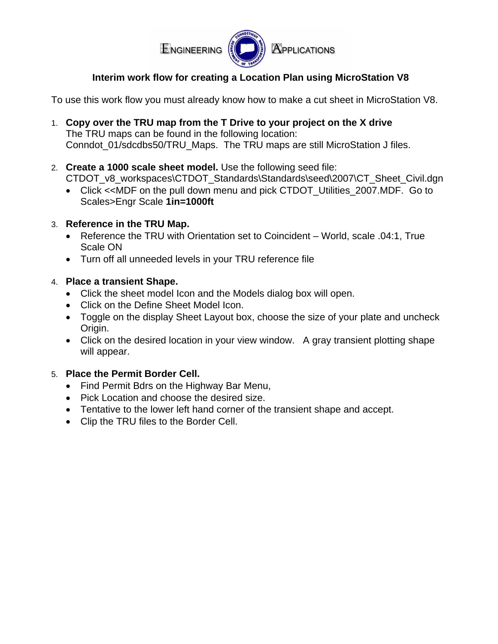

## **Interim work flow for creating a Location Plan using MicroStation V8**

To use this work flow you must already know how to make a cut sheet in MicroStation V8.

- 1. **Copy over the TRU map from the T Drive to your project on the X drive** The TRU maps can be found in the following location: Conndot\_01/sdcdbs50/TRU\_Maps. The TRU maps are still MicroStation J files.
- 2. **Create a 1000 scale sheet model.** Use the following seed file: CTDOT\_v8\_workspaces\CTDOT\_Standards\Standards\seed\2007\CT\_Sheet\_Civil.dgn
	- Click <<MDF on the pull down menu and pick CTDOT Utilities 2007.MDF. Go to Scales>Engr Scale **1in=1000ft**
- 3. **Reference in the TRU Map.**
	- Reference the TRU with Orientation set to Coincident World, scale .04:1, True Scale ON
	- Turn off all unneeded levels in your TRU reference file
- 4. **Place a transient Shape.**
	- Click the sheet model Icon and the Models dialog box will open.
	- Click on the Define Sheet Model Icon.
	- Toggle on the display Sheet Layout box, choose the size of your plate and uncheck Origin.
	- Click on the desired location in your view window. A gray transient plotting shape will appear.

## 5. **Place the Permit Border Cell.**

- Find Permit Bdrs on the Highway Bar Menu,
- Pick Location and choose the desired size.
- Tentative to the lower left hand corner of the transient shape and accept.
- Clip the TRU files to the Border Cell.